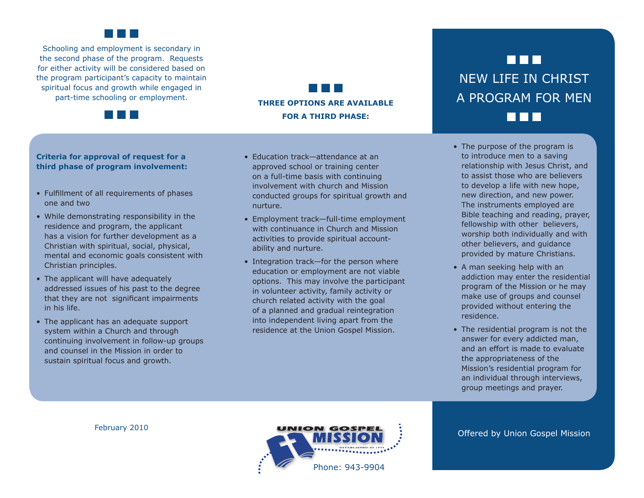

Schooling and employment is secondary in the second phase of the program. Requests for either activity will be considered based on the program participant's capacity to maintain spiritual focus and growth while engaged in part-time schooling or employment.



## ■ ■ ■ **THREE OPTIONS ARE AVAILABLE FOR A THIRD PHASE:**

### **Criteria for approval of request for a third phase of program involvement:**

- Fulfillment of all requirements of phases one and two
- While demonstrating responsibility in the residence and program, the applicant has a vision for further development as a Christian with spiritual, social, physical, mental and economic goals consistent with Christian principles.
- The applicant will have adequately addressed issues of his past to the degree that they are not significant impairments in his life.
- The applicant has an adequate support system within a Church and through continuing involvement in follow-up groups and counsel in the Mission in order to sustain spiritual focus and growth.
- Education track—attendance at an approved school or training center on a full-time basis with continuing involvement with church and Mission conducted groups for spiritual growth and nurture.
- Employment track-full-time employment with continuance in Church and Mission activities to provide spiritual accountability and nurture.
- Integration track—for the person where education or employment are not viable options. This may involve the participant in volunteer activity, family activity or church related activity with the goal of a planned and gradual reintegration into independent living apart from the residence at the Union Gospel Mission.

# ■ ■ ■ NEW LIFE IN CHRIST A PROGRAM FOR MEN ■ ■ ■

- The purpose of the program is to introduce men to a saving relationship with Jesus Christ, and to assist those who are believers to develop a life with new hope, new direction, and new power. The instruments employed are Bible teaching and reading, prayer, fellowship with other believers, worship both individually and with other believers, and guidance provided by mature Christians.
- A man seeking help with an addiction may enter the residential program of the Mission or he may make use of groups and counsel provided without entering the residence.
- The residential program is not the answer for every addicted man, and an effort is made to evaluate the appropriateness of the Mission's residential program for an individual through interviews, group meetings and prayer.

February 2010



Offered by Union Gospel Mission